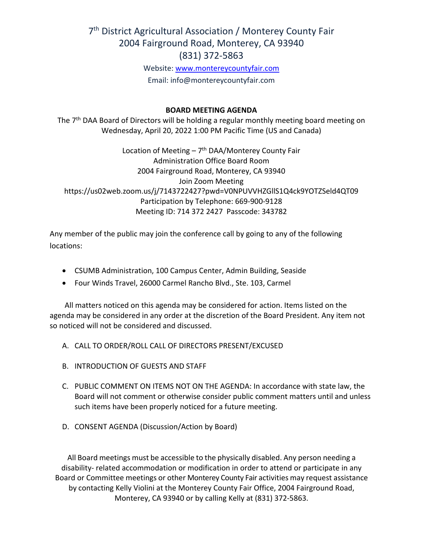# 7<sup>th</sup> District Agricultural Association / Monterey County Fair 2004 Fairground Road, Monterey, CA 93940 (831) 372-5863

Website: [www.montereycountyfair.com](http://www.montereycountyfair.com/) Email: info@montereycountyfair.com

#### **BOARD MEETING AGENDA**

The 7<sup>th</sup> DAA Board of Directors will be holding a regular monthly meeting board meeting on Wednesday, April 20, 2022 1:00 PM Pacific Time (US and Canada)

Location of Meeting  $-7$ <sup>th</sup> DAA/Monterey County Fair Administration Office Board Room 2004 Fairground Road, Monterey, CA 93940 Join Zoom Meeting https://us02web.zoom.us/j/7143722427?pwd=V0NPUVVHZGllS1Q4ck9YOTZSeld4QT09 Participation by Telephone: 669-900-9128 Meeting ID: 714 372 2427 Passcode: 343782

Any member of the public may join the conference call by going to any of the following locations:

- CSUMB Administration, 100 Campus Center, Admin Building, Seaside
- Four Winds Travel, 26000 Carmel Rancho Blvd., Ste. 103, Carmel

 All matters noticed on this agenda may be considered for action. Items listed on the agenda may be considered in any order at the discretion of the Board President. Any item not so noticed will not be considered and discussed.

- A. CALL TO ORDER/ROLL CALL OF DIRECTORS PRESENT/EXCUSED
- B. INTRODUCTION OF GUESTS AND STAFF
- C. PUBLIC COMMENT ON ITEMS NOT ON THE AGENDA: In accordance with state law, the Board will not comment or otherwise consider public comment matters until and unless such items have been properly noticed for a future meeting.
- D. CONSENT AGENDA (Discussion/Action by Board)

All Board meetings must be accessible to the physically disabled. Any person needing a disability- related accommodation or modification in order to attend or participate in any Board or Committee meetings or other Monterey County Fair activities may request assistance by contacting Kelly Violini at the Monterey County Fair Office, 2004 Fairground Road, Monterey, CA 93940 or by calling Kelly at (831) 372-5863.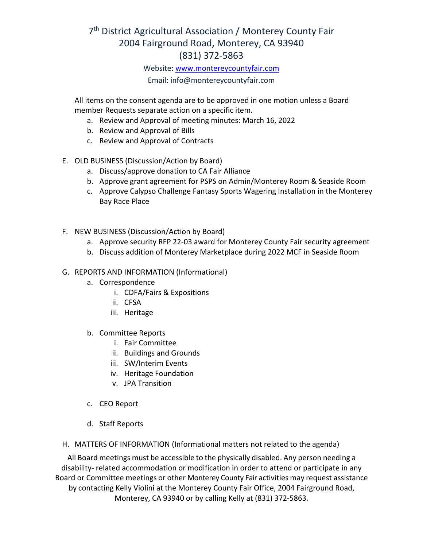# 7<sup>th</sup> District Agricultural Association / Monterey County Fair 2004 Fairground Road, Monterey, CA 93940 (831) 372-5863

#### Website: [www.montereycountyfair.com](http://www.montereycountyfair.com/)

## Email: info@montereycountyfair.com

All items on the consent agenda are to be approved in one motion unless a Board member Requests separate action on a specific item.

- a. Review and Approval of meeting minutes: March 16, 2022
- b. Review and Approval of Bills
- c. Review and Approval of Contracts
- E. OLD BUSINESS (Discussion/Action by Board)
	- a. Discuss/approve donation to CA Fair Alliance
	- b. Approve grant agreement for PSPS on Admin/Monterey Room & Seaside Room
	- c. Approve Calypso Challenge Fantasy Sports Wagering Installation in the Monterey Bay Race Place
- F. NEW BUSINESS (Discussion/Action by Board)
	- a. Approve security RFP 22-03 award for Monterey County Fair security agreement
	- b. Discuss addition of Monterey Marketplace during 2022 MCF in Seaside Room

## G. REPORTS AND INFORMATION (Informational)

- a. Correspondence
	- i. CDFA/Fairs & Expositions
	- ii. CFSA
	- iii. Heritage
- b. Committee Reports
	- i. Fair Committee
	- ii. Buildings and Grounds
	- iii. SW/Interim Events
	- iv. Heritage Foundation
	- v. JPA Transition
- c. CEO Report
- d. Staff Reports
- H. MATTERS OF INFORMATION (Informational matters not related to the agenda)

All Board meetings must be accessible to the physically disabled. Any person needing a disability- related accommodation or modification in order to attend or participate in any Board or Committee meetings or other Monterey County Fair activities may request assistance by contacting Kelly Violini at the Monterey County Fair Office, 2004 Fairground Road, Monterey, CA 93940 or by calling Kelly at (831) 372-5863.